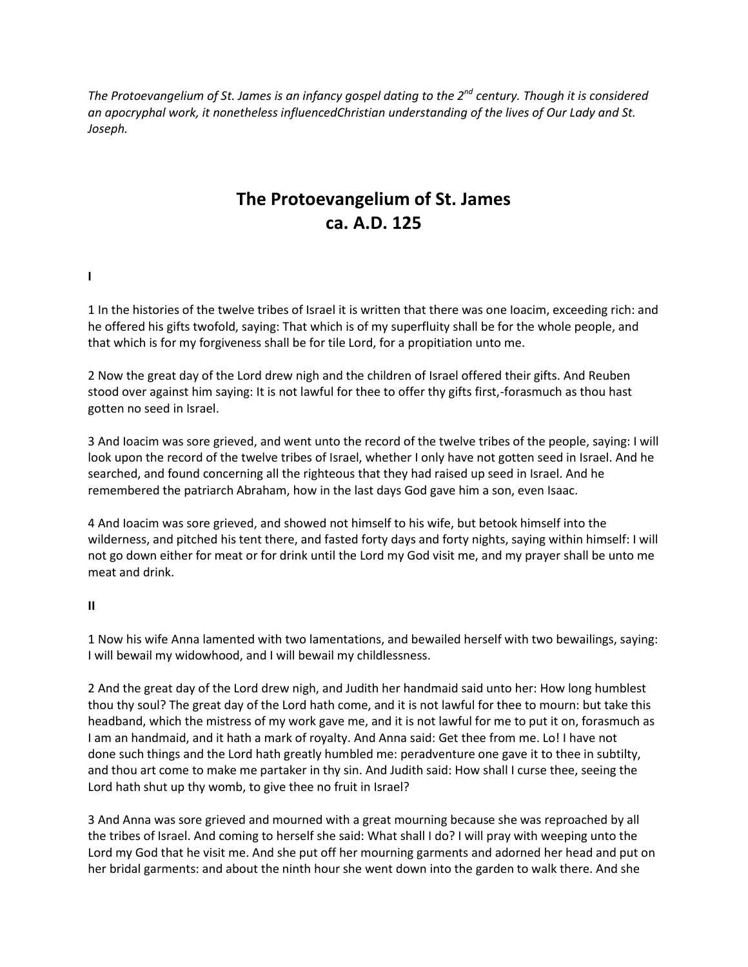*The Protoevangelium of St. James is an infancy gospel dating to the 2nd century. Though it is considered an apocryphal work, it nonetheless influencedChristian understanding of the lives of Our Lady and St. Joseph.*

# **The Protoevangelium of St. James ca. A.D. 125**

**I**

1 In the histories of the twelve tribes of Israel it is written that there was one Ioacim, exceeding rich: and he offered his gifts twofold, saying: That which is of my superfluity shall be for the whole people, and that which is for my forgiveness shall be for tile Lord, for a propitiation unto me.

2 Now the great day of the Lord drew nigh and the children of Israel offered their gifts. And Reuben stood over against him saying: It is not lawful for thee to offer thy gifts first,-forasmuch as thou hast gotten no seed in Israel.

3 And Ioacim was sore grieved, and went unto the record of the twelve tribes of the people, saying: I will look upon the record of the twelve tribes of Israel, whether I only have not gotten seed in Israel. And he searched, and found concerning all the righteous that they had raised up seed in Israel. And he remembered the patriarch Abraham, how in the last days God gave him a son, even Isaac.

4 And Ioacim was sore grieved, and showed not himself to his wife, but betook himself into the wilderness, and pitched his tent there, and fasted forty days and forty nights, saying within himself: I will not go down either for meat or for drink until the Lord my God visit me, and my prayer shall be unto me meat and drink.

#### **II**

1 Now his wife Anna lamented with two lamentations, and bewailed herself with two bewailings, saying: I will bewail my widowhood, and I will bewail my childlessness.

2 And the great day of the Lord drew nigh, and Judith her handmaid said unto her: How long humblest thou thy soul? The great day of the Lord hath come, and it is not lawful for thee to mourn: but take this headband, which the mistress of my work gave me, and it is not lawful for me to put it on, forasmuch as I am an handmaid, and it hath a mark of royalty. And Anna said: Get thee from me. Lo! I have not done such things and the Lord hath greatly humbled me: peradventure one gave it to thee in subtilty, and thou art come to make me partaker in thy sin. And Judith said: How shall I curse thee, seeing the Lord hath shut up thy womb, to give thee no fruit in Israel?

3 And Anna was sore grieved and mourned with a great mourning because she was reproached by all the tribes of Israel. And coming to herself she said: What shall I do? I will pray with weeping unto the Lord my God that he visit me. And she put off her mourning garments and adorned her head and put on her bridal garments: and about the ninth hour she went down into the garden to walk there. And she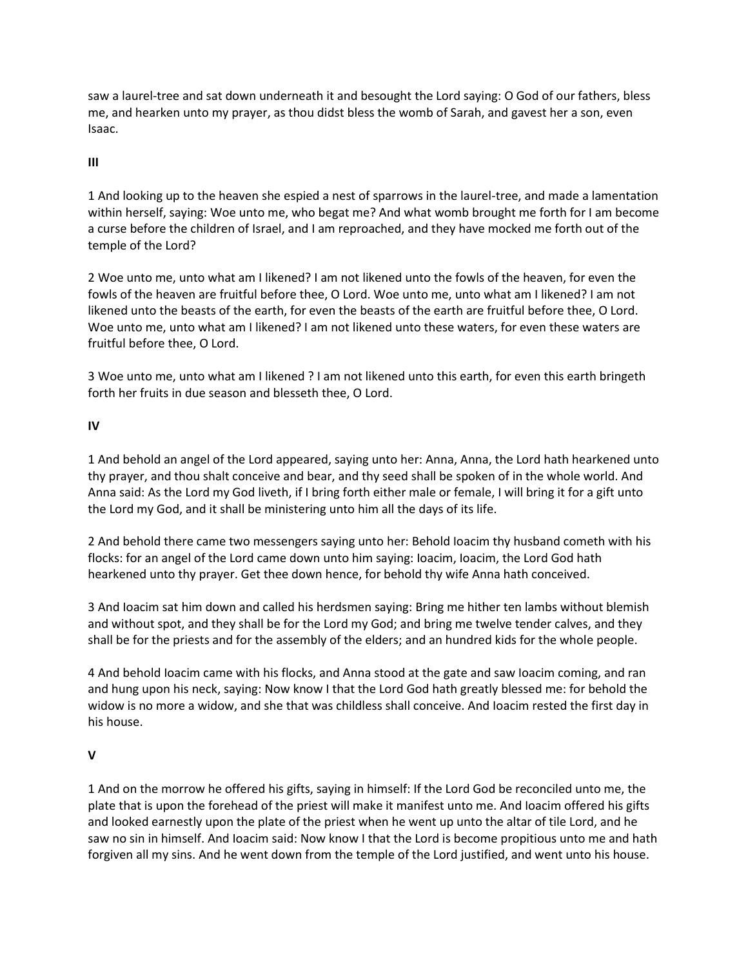saw a laurel-tree and sat down underneath it and besought the Lord saying: O God of our fathers, bless me, and hearken unto my prayer, as thou didst bless the womb of Sarah, and gavest her a son, even Isaac.

## **III**

1 And looking up to the heaven she espied a nest of sparrows in the laurel-tree, and made a lamentation within herself, saying: Woe unto me, who begat me? And what womb brought me forth for I am become a curse before the children of Israel, and I am reproached, and they have mocked me forth out of the temple of the Lord?

2 Woe unto me, unto what am I likened? I am not likened unto the fowls of the heaven, for even the fowls of the heaven are fruitful before thee, O Lord. Woe unto me, unto what am I likened? I am not likened unto the beasts of the earth, for even the beasts of the earth are fruitful before thee, O Lord. Woe unto me, unto what am I likened? I am not likened unto these waters, for even these waters are fruitful before thee, O Lord.

3 Woe unto me, unto what am I likened ? I am not likened unto this earth, for even this earth bringeth forth her fruits in due season and blesseth thee, O Lord.

## **IV**

1 And behold an angel of the Lord appeared, saying unto her: Anna, Anna, the Lord hath hearkened unto thy prayer, and thou shalt conceive and bear, and thy seed shall be spoken of in the whole world. And Anna said: As the Lord my God liveth, if I bring forth either male or female, I will bring it for a gift unto the Lord my God, and it shall be ministering unto him all the days of its life.

2 And behold there came two messengers saying unto her: Behold Ioacim thy husband cometh with his flocks: for an angel of the Lord came down unto him saying: Ioacim, Ioacim, the Lord God hath hearkened unto thy prayer. Get thee down hence, for behold thy wife Anna hath conceived.

3 And Ioacim sat him down and called his herdsmen saying: Bring me hither ten lambs without blemish and without spot, and they shall be for the Lord my God; and bring me twelve tender calves, and they shall be for the priests and for the assembly of the elders; and an hundred kids for the whole people.

4 And behold Ioacim came with his flocks, and Anna stood at the gate and saw Ioacim coming, and ran and hung upon his neck, saying: Now know I that the Lord God hath greatly blessed me: for behold the widow is no more a widow, and she that was childless shall conceive. And Ioacim rested the first day in his house.

#### **V**

1 And on the morrow he offered his gifts, saying in himself: If the Lord God be reconciled unto me, the plate that is upon the forehead of the priest will make it manifest unto me. And Ioacim offered his gifts and looked earnestly upon the plate of the priest when he went up unto the altar of tile Lord, and he saw no sin in himself. And Ioacim said: Now know I that the Lord is become propitious unto me and hath forgiven all my sins. And he went down from the temple of the Lord justified, and went unto his house.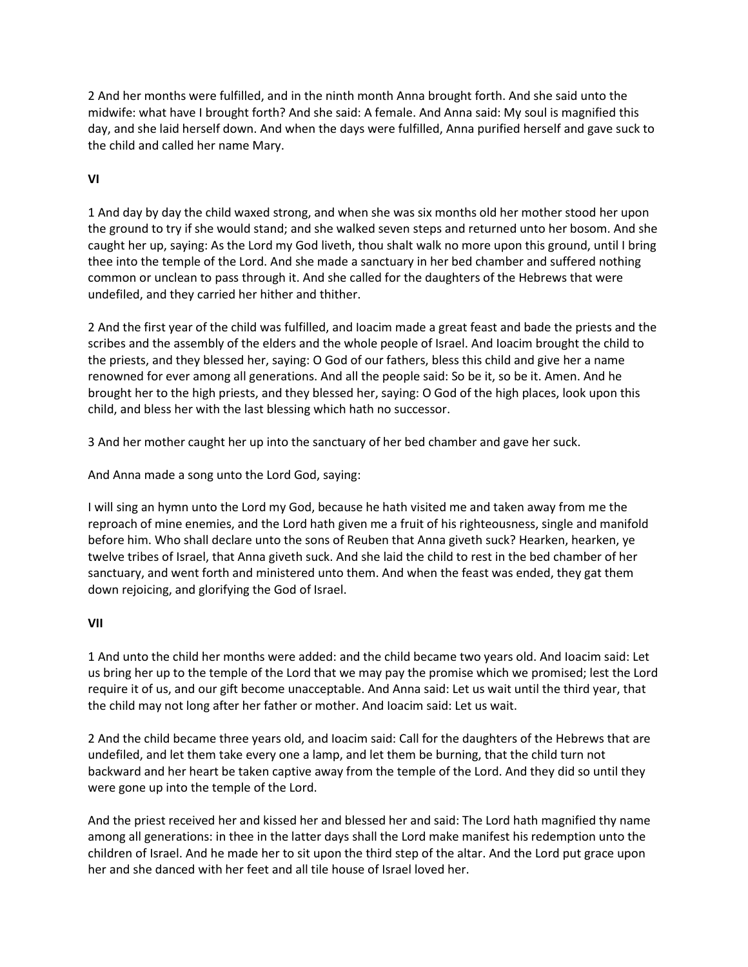2 And her months were fulfilled, and in the ninth month Anna brought forth. And she said unto the midwife: what have I brought forth? And she said: A female. And Anna said: My soul is magnified this day, and she laid herself down. And when the days were fulfilled, Anna purified herself and gave suck to the child and called her name Mary.

# **VI**

1 And day by day the child waxed strong, and when she was six months old her mother stood her upon the ground to try if she would stand; and she walked seven steps and returned unto her bosom. And she caught her up, saying: As the Lord my God liveth, thou shalt walk no more upon this ground, until I bring thee into the temple of the Lord. And she made a sanctuary in her bed chamber and suffered nothing common or unclean to pass through it. And she called for the daughters of the Hebrews that were undefiled, and they carried her hither and thither.

2 And the first year of the child was fulfilled, and Ioacim made a great feast and bade the priests and the scribes and the assembly of the elders and the whole people of Israel. And Ioacim brought the child to the priests, and they blessed her, saying: O God of our fathers, bless this child and give her a name renowned for ever among all generations. And all the people said: So be it, so be it. Amen. And he brought her to the high priests, and they blessed her, saying: O God of the high places, look upon this child, and bless her with the last blessing which hath no successor.

3 And her mother caught her up into the sanctuary of her bed chamber and gave her suck.

And Anna made a song unto the Lord God, saying:

I will sing an hymn unto the Lord my God, because he hath visited me and taken away from me the reproach of mine enemies, and the Lord hath given me a fruit of his righteousness, single and manifold before him. Who shall declare unto the sons of Reuben that Anna giveth suck? Hearken, hearken, ye twelve tribes of Israel, that Anna giveth suck. And she laid the child to rest in the bed chamber of her sanctuary, and went forth and ministered unto them. And when the feast was ended, they gat them down rejoicing, and glorifying the God of Israel.

#### **VII**

1 And unto the child her months were added: and the child became two years old. And Ioacim said: Let us bring her up to the temple of the Lord that we may pay the promise which we promised; lest the Lord require it of us, and our gift become unacceptable. And Anna said: Let us wait until the third year, that the child may not long after her father or mother. And Ioacim said: Let us wait.

2 And the child became three years old, and Ioacim said: Call for the daughters of the Hebrews that are undefiled, and let them take every one a lamp, and let them be burning, that the child turn not backward and her heart be taken captive away from the temple of the Lord. And they did so until they were gone up into the temple of the Lord.

And the priest received her and kissed her and blessed her and said: The Lord hath magnified thy name among all generations: in thee in the latter days shall the Lord make manifest his redemption unto the children of Israel. And he made her to sit upon the third step of the altar. And the Lord put grace upon her and she danced with her feet and all tile house of Israel loved her.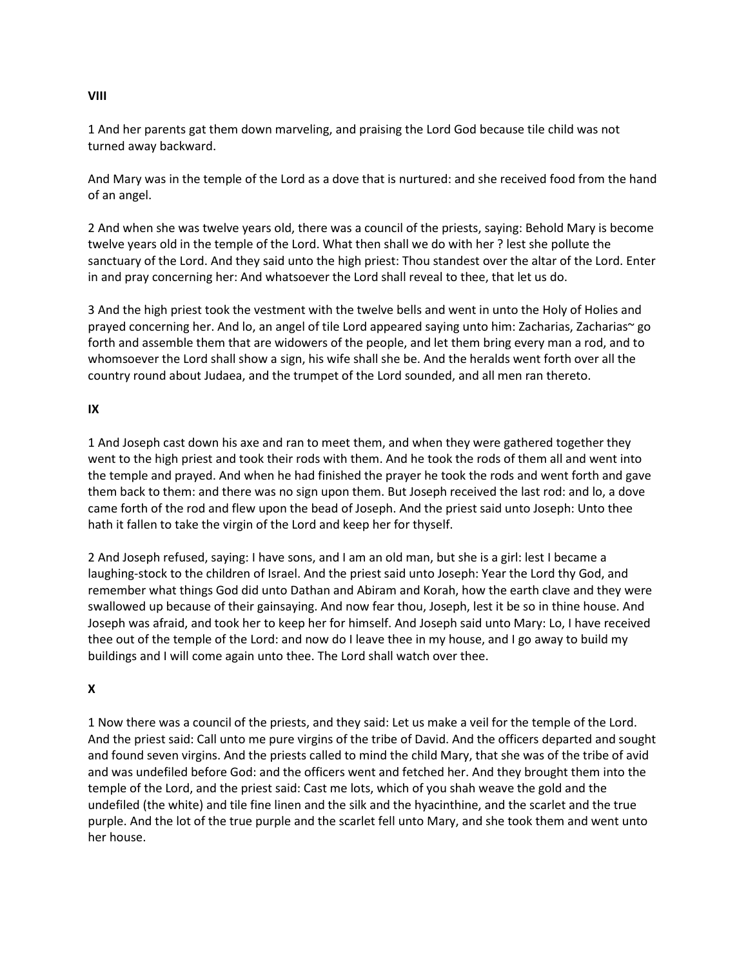#### **VIII**

1 And her parents gat them down marveling, and praising the Lord God because tile child was not turned away backward.

And Mary was in the temple of the Lord as a dove that is nurtured: and she received food from the hand of an angel.

2 And when she was twelve years old, there was a council of the priests, saying: Behold Mary is become twelve years old in the temple of the Lord. What then shall we do with her ? lest she pollute the sanctuary of the Lord. And they said unto the high priest: Thou standest over the altar of the Lord. Enter in and pray concerning her: And whatsoever the Lord shall reveal to thee, that let us do.

3 And the high priest took the vestment with the twelve bells and went in unto the Holy of Holies and prayed concerning her. And lo, an angel of tile Lord appeared saying unto him: Zacharias, Zacharias~ go forth and assemble them that are widowers of the people, and let them bring every man a rod, and to whomsoever the Lord shall show a sign, his wife shall she be. And the heralds went forth over all the country round about Judaea, and the trumpet of the Lord sounded, and all men ran thereto.

#### **IX**

1 And Joseph cast down his axe and ran to meet them, and when they were gathered together they went to the high priest and took their rods with them. And he took the rods of them all and went into the temple and prayed. And when he had finished the prayer he took the rods and went forth and gave them back to them: and there was no sign upon them. But Joseph received the last rod: and lo, a dove came forth of the rod and flew upon the bead of Joseph. And the priest said unto Joseph: Unto thee hath it fallen to take the virgin of the Lord and keep her for thyself.

2 And Joseph refused, saying: I have sons, and I am an old man, but she is a girl: lest I became a laughing-stock to the children of Israel. And the priest said unto Joseph: Year the Lord thy God, and remember what things God did unto Dathan and Abiram and Korah, how the earth clave and they were swallowed up because of their gainsaying. And now fear thou, Joseph, lest it be so in thine house. And Joseph was afraid, and took her to keep her for himself. And Joseph said unto Mary: Lo, I have received thee out of the temple of the Lord: and now do I leave thee in my house, and I go away to build my buildings and I will come again unto thee. The Lord shall watch over thee.

#### **X**

1 Now there was a council of the priests, and they said: Let us make a veil for the temple of the Lord. And the priest said: Call unto me pure virgins of the tribe of David. And the officers departed and sought and found seven virgins. And the priests called to mind the child Mary, that she was of the tribe of avid and was undefiled before God: and the officers went and fetched her. And they brought them into the temple of the Lord, and the priest said: Cast me lots, which of you shah weave the gold and the undefiled (the white) and tile fine linen and the silk and the hyacinthine, and the scarlet and the true purple. And the lot of the true purple and the scarlet fell unto Mary, and she took them and went unto her house.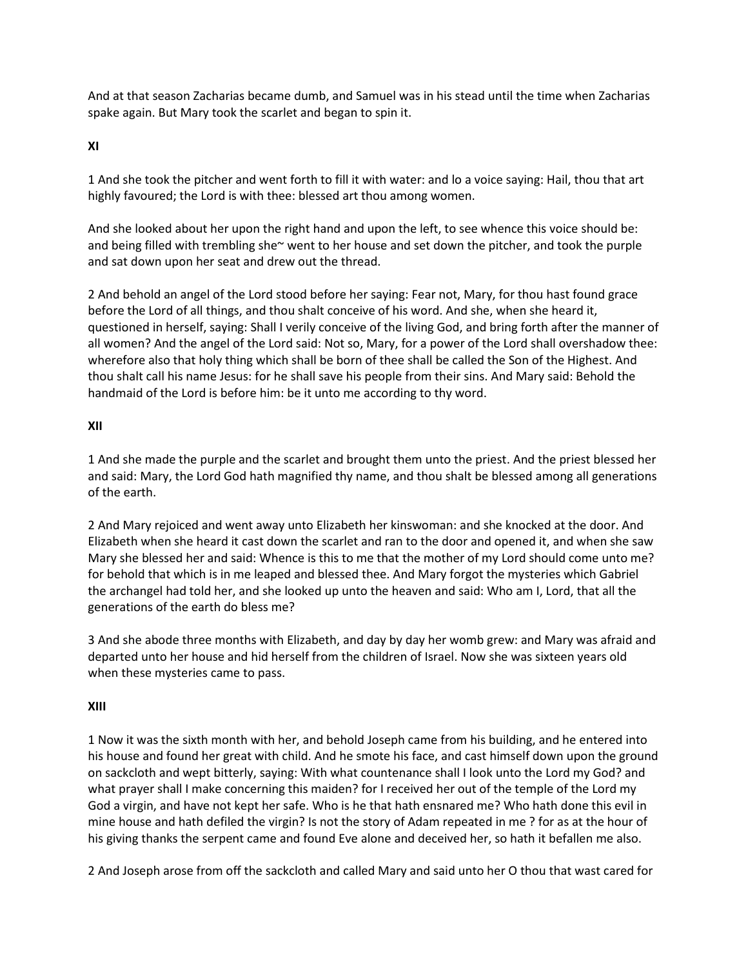And at that season Zacharias became dumb, and Samuel was in his stead until the time when Zacharias spake again. But Mary took the scarlet and began to spin it.

## **XI**

1 And she took the pitcher and went forth to fill it with water: and lo a voice saying: Hail, thou that art highly favoured; the Lord is with thee: blessed art thou among women.

And she looked about her upon the right hand and upon the left, to see whence this voice should be: and being filled with trembling she~ went to her house and set down the pitcher, and took the purple and sat down upon her seat and drew out the thread.

2 And behold an angel of the Lord stood before her saying: Fear not, Mary, for thou hast found grace before the Lord of all things, and thou shalt conceive of his word. And she, when she heard it, questioned in herself, saying: Shall I verily conceive of the living God, and bring forth after the manner of all women? And the angel of the Lord said: Not so, Mary, for a power of the Lord shall overshadow thee: wherefore also that holy thing which shall be born of thee shall be called the Son of the Highest. And thou shalt call his name Jesus: for he shall save his people from their sins. And Mary said: Behold the handmaid of the Lord is before him: be it unto me according to thy word.

# **XII**

1 And she made the purple and the scarlet and brought them unto the priest. And the priest blessed her and said: Mary, the Lord God hath magnified thy name, and thou shalt be blessed among all generations of the earth.

2 And Mary rejoiced and went away unto Elizabeth her kinswoman: and she knocked at the door. And Elizabeth when she heard it cast down the scarlet and ran to the door and opened it, and when she saw Mary she blessed her and said: Whence is this to me that the mother of my Lord should come unto me? for behold that which is in me leaped and blessed thee. And Mary forgot the mysteries which Gabriel the archangel had told her, and she looked up unto the heaven and said: Who am I, Lord, that all the generations of the earth do bless me?

3 And she abode three months with Elizabeth, and day by day her womb grew: and Mary was afraid and departed unto her house and hid herself from the children of Israel. Now she was sixteen years old when these mysteries came to pass.

# **XIII**

1 Now it was the sixth month with her, and behold Joseph came from his building, and he entered into his house and found her great with child. And he smote his face, and cast himself down upon the ground on sackcloth and wept bitterly, saying: With what countenance shall I look unto the Lord my God? and what prayer shall I make concerning this maiden? for I received her out of the temple of the Lord my God a virgin, and have not kept her safe. Who is he that hath ensnared me? Who hath done this evil in mine house and hath defiled the virgin? Is not the story of Adam repeated in me ? for as at the hour of his giving thanks the serpent came and found Eve alone and deceived her, so hath it befallen me also.

2 And Joseph arose from off the sackcloth and called Mary and said unto her O thou that wast cared for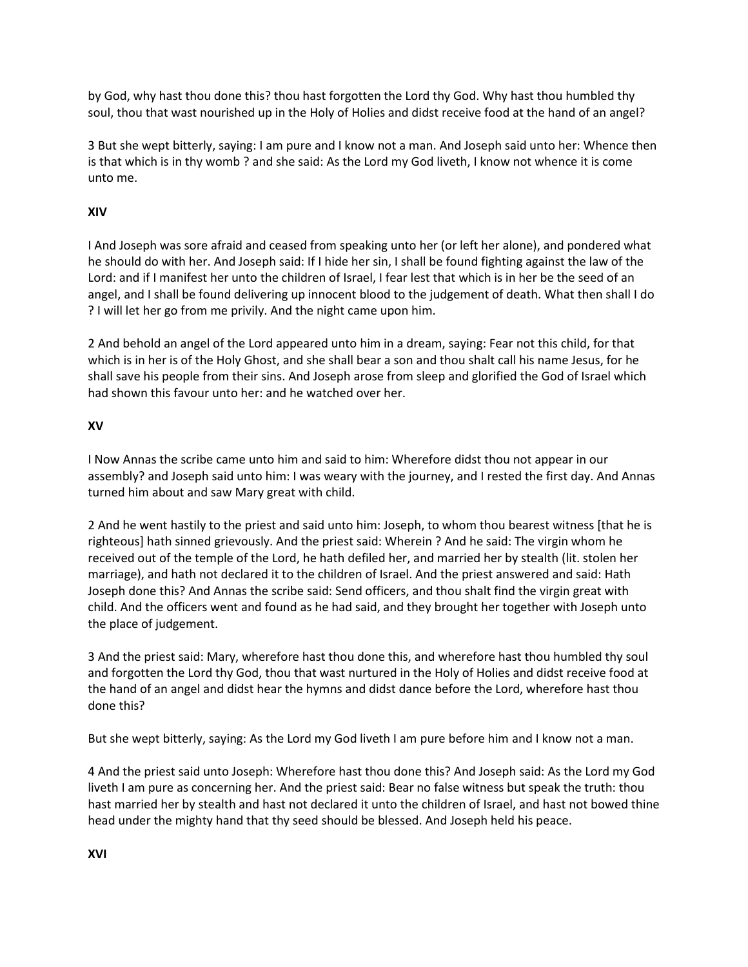by God, why hast thou done this? thou hast forgotten the Lord thy God. Why hast thou humbled thy soul, thou that wast nourished up in the Holy of Holies and didst receive food at the hand of an angel?

3 But she wept bitterly, saying: I am pure and I know not a man. And Joseph said unto her: Whence then is that which is in thy womb ? and she said: As the Lord my God liveth, I know not whence it is come unto me.

# **XIV**

I And Joseph was sore afraid and ceased from speaking unto her (or left her alone), and pondered what he should do with her. And Joseph said: If I hide her sin, I shall be found fighting against the law of the Lord: and if I manifest her unto the children of Israel, I fear lest that which is in her be the seed of an angel, and I shall be found delivering up innocent blood to the judgement of death. What then shall I do ? I will let her go from me privily. And the night came upon him.

2 And behold an angel of the Lord appeared unto him in a dream, saying: Fear not this child, for that which is in her is of the Holy Ghost, and she shall bear a son and thou shalt call his name Jesus, for he shall save his people from their sins. And Joseph arose from sleep and glorified the God of Israel which had shown this favour unto her: and he watched over her.

## **XV**

I Now Annas the scribe came unto him and said to him: Wherefore didst thou not appear in our assembly? and Joseph said unto him: I was weary with the journey, and I rested the first day. And Annas turned him about and saw Mary great with child.

2 And he went hastily to the priest and said unto him: Joseph, to whom thou bearest witness [that he is righteous] hath sinned grievously. And the priest said: Wherein ? And he said: The virgin whom he received out of the temple of the Lord, he hath defiled her, and married her by stealth (lit. stolen her marriage), and hath not declared it to the children of Israel. And the priest answered and said: Hath Joseph done this? And Annas the scribe said: Send officers, and thou shalt find the virgin great with child. And the officers went and found as he had said, and they brought her together with Joseph unto the place of judgement.

3 And the priest said: Mary, wherefore hast thou done this, and wherefore hast thou humbled thy soul and forgotten the Lord thy God, thou that wast nurtured in the Holy of Holies and didst receive food at the hand of an angel and didst hear the hymns and didst dance before the Lord, wherefore hast thou done this?

But she wept bitterly, saying: As the Lord my God liveth I am pure before him and I know not a man.

4 And the priest said unto Joseph: Wherefore hast thou done this? And Joseph said: As the Lord my God liveth I am pure as concerning her. And the priest said: Bear no false witness but speak the truth: thou hast married her by stealth and hast not declared it unto the children of Israel, and hast not bowed thine head under the mighty hand that thy seed should be blessed. And Joseph held his peace.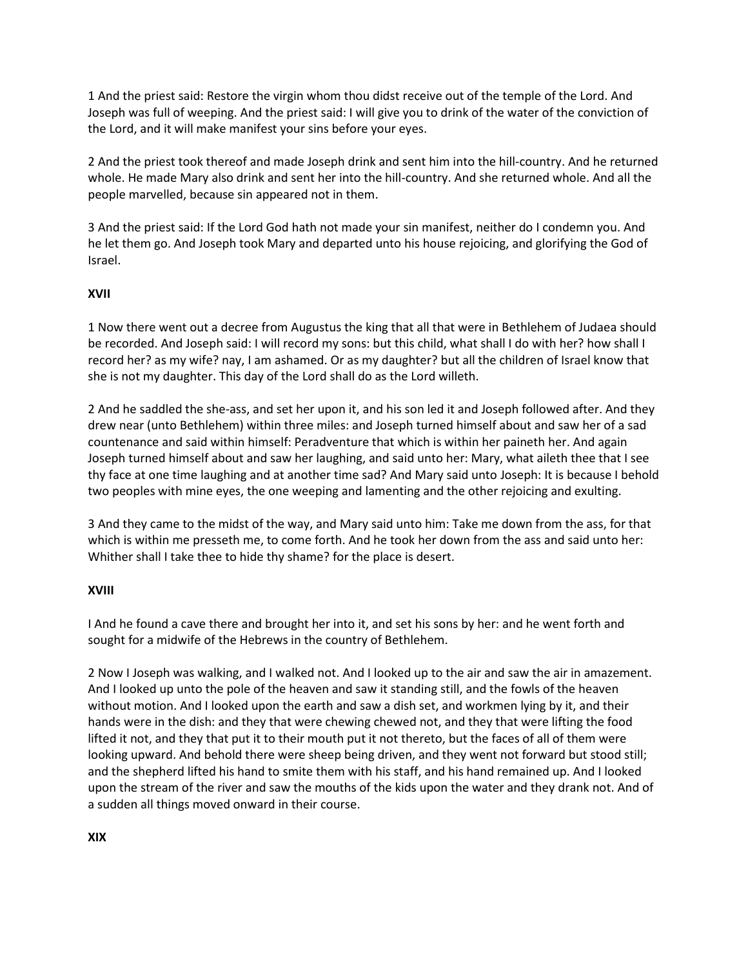1 And the priest said: Restore the virgin whom thou didst receive out of the temple of the Lord. And Joseph was full of weeping. And the priest said: I will give you to drink of the water of the conviction of the Lord, and it will make manifest your sins before your eyes.

2 And the priest took thereof and made Joseph drink and sent him into the hill-country. And he returned whole. He made Mary also drink and sent her into the hill-country. And she returned whole. And all the people marvelled, because sin appeared not in them.

3 And the priest said: If the Lord God hath not made your sin manifest, neither do I condemn you. And he let them go. And Joseph took Mary and departed unto his house rejoicing, and glorifying the God of Israel.

#### **XVII**

1 Now there went out a decree from Augustus the king that all that were in Bethlehem of Judaea should be recorded. And Joseph said: I will record my sons: but this child, what shall I do with her? how shall I record her? as my wife? nay, I am ashamed. Or as my daughter? but all the children of Israel know that she is not my daughter. This day of the Lord shall do as the Lord willeth.

2 And he saddled the she-ass, and set her upon it, and his son led it and Joseph followed after. And they drew near (unto Bethlehem) within three miles: and Joseph turned himself about and saw her of a sad countenance and said within himself: Peradventure that which is within her paineth her. And again Joseph turned himself about and saw her laughing, and said unto her: Mary, what aileth thee that I see thy face at one time laughing and at another time sad? And Mary said unto Joseph: It is because I behold two peoples with mine eyes, the one weeping and lamenting and the other rejoicing and exulting.

3 And they came to the midst of the way, and Mary said unto him: Take me down from the ass, for that which is within me presseth me, to come forth. And he took her down from the ass and said unto her: Whither shall I take thee to hide thy shame? for the place is desert.

#### **XVIII**

I And he found a cave there and brought her into it, and set his sons by her: and he went forth and sought for a midwife of the Hebrews in the country of Bethlehem.

2 Now I Joseph was walking, and I walked not. And I looked up to the air and saw the air in amazement. And I looked up unto the pole of the heaven and saw it standing still, and the fowls of the heaven without motion. And I looked upon the earth and saw a dish set, and workmen lying by it, and their hands were in the dish: and they that were chewing chewed not, and they that were lifting the food lifted it not, and they that put it to their mouth put it not thereto, but the faces of all of them were looking upward. And behold there were sheep being driven, and they went not forward but stood still; and the shepherd lifted his hand to smite them with his staff, and his hand remained up. And I looked upon the stream of the river and saw the mouths of the kids upon the water and they drank not. And of a sudden all things moved onward in their course.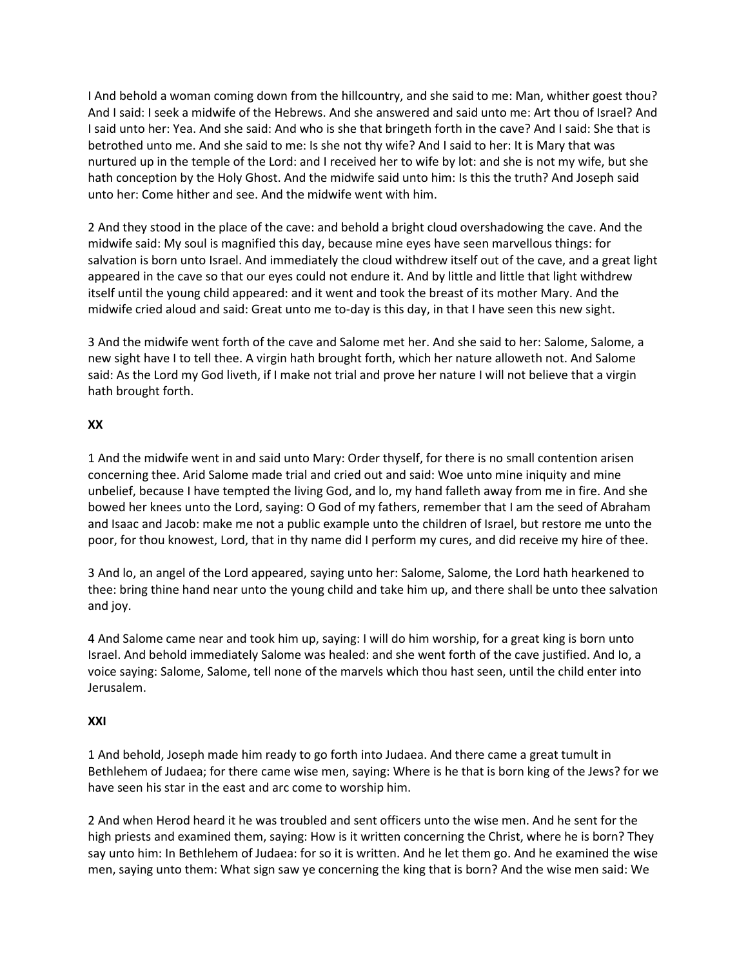I And behold a woman coming down from the hillcountry, and she said to me: Man, whither goest thou? And I said: I seek a midwife of the Hebrews. And she answered and said unto me: Art thou of Israel? And I said unto her: Yea. And she said: And who is she that bringeth forth in the cave? And I said: She that is betrothed unto me. And she said to me: Is she not thy wife? And I said to her: It is Mary that was nurtured up in the temple of the Lord: and I received her to wife by lot: and she is not my wife, but she hath conception by the Holy Ghost. And the midwife said unto him: Is this the truth? And Joseph said unto her: Come hither and see. And the midwife went with him.

2 And they stood in the place of the cave: and behold a bright cloud overshadowing the cave. And the midwife said: My soul is magnified this day, because mine eyes have seen marvellous things: for salvation is born unto Israel. And immediately the cloud withdrew itself out of the cave, and a great light appeared in the cave so that our eyes could not endure it. And by little and little that light withdrew itself until the young child appeared: and it went and took the breast of its mother Mary. And the midwife cried aloud and said: Great unto me to-day is this day, in that I have seen this new sight.

3 And the midwife went forth of the cave and Salome met her. And she said to her: Salome, Salome, a new sight have I to tell thee. A virgin hath brought forth, which her nature alloweth not. And Salome said: As the Lord my God liveth, if I make not trial and prove her nature I will not believe that a virgin hath brought forth.

#### **XX**

1 And the midwife went in and said unto Mary: Order thyself, for there is no small contention arisen concerning thee. Arid Salome made trial and cried out and said: Woe unto mine iniquity and mine unbelief, because I have tempted the living God, and lo, my hand falleth away from me in fire. And she bowed her knees unto the Lord, saying: O God of my fathers, remember that I am the seed of Abraham and Isaac and Jacob: make me not a public example unto the children of Israel, but restore me unto the poor, for thou knowest, Lord, that in thy name did I perform my cures, and did receive my hire of thee.

3 And lo, an angel of the Lord appeared, saying unto her: Salome, Salome, the Lord hath hearkened to thee: bring thine hand near unto the young child and take him up, and there shall be unto thee salvation and joy.

4 And Salome came near and took him up, saying: I will do him worship, for a great king is born unto Israel. And behold immediately Salome was healed: and she went forth of the cave justified. And Io, a voice saying: Salome, Salome, tell none of the marvels which thou hast seen, until the child enter into Jerusalem.

# **XXI**

1 And behold, Joseph made him ready to go forth into Judaea. And there came a great tumult in Bethlehem of Judaea; for there came wise men, saying: Where is he that is born king of the Jews? for we have seen his star in the east and arc come to worship him.

2 And when Herod heard it he was troubled and sent officers unto the wise men. And he sent for the high priests and examined them, saying: How is it written concerning the Christ, where he is born? They say unto him: In Bethlehem of Judaea: for so it is written. And he let them go. And he examined the wise men, saying unto them: What sign saw ye concerning the king that is born? And the wise men said: We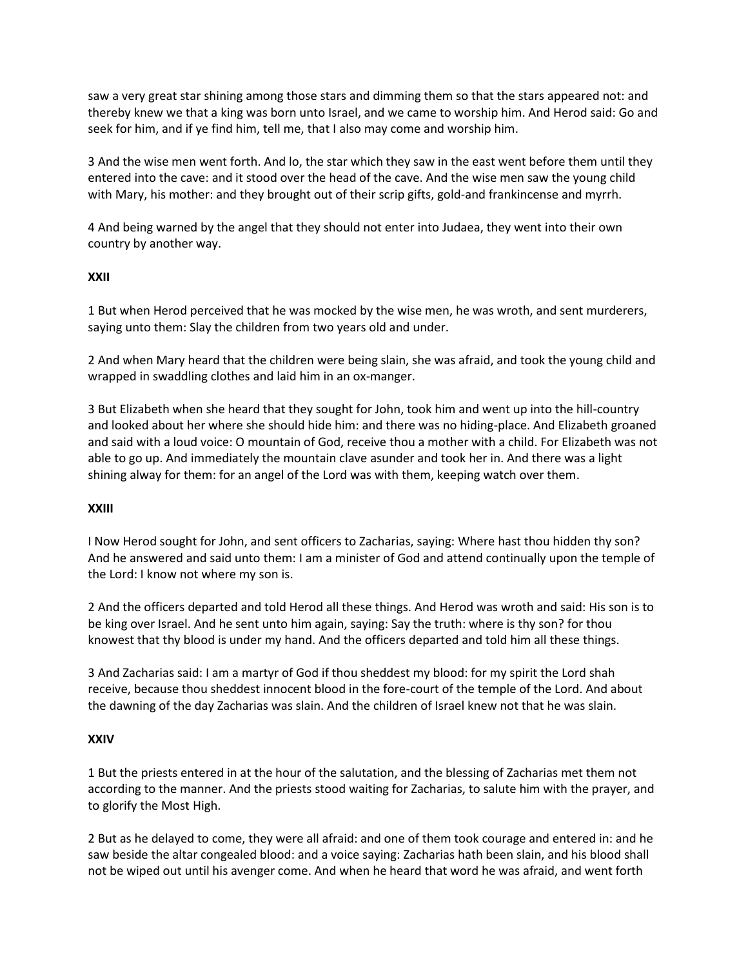saw a very great star shining among those stars and dimming them so that the stars appeared not: and thereby knew we that a king was born unto Israel, and we came to worship him. And Herod said: Go and seek for him, and if ye find him, tell me, that I also may come and worship him.

3 And the wise men went forth. And lo, the star which they saw in the east went before them until they entered into the cave: and it stood over the head of the cave. And the wise men saw the young child with Mary, his mother: and they brought out of their scrip gifts, gold-and frankincense and myrrh.

4 And being warned by the angel that they should not enter into Judaea, they went into their own country by another way.

## **XXII**

1 But when Herod perceived that he was mocked by the wise men, he was wroth, and sent murderers, saying unto them: Slay the children from two years old and under.

2 And when Mary heard that the children were being slain, she was afraid, and took the young child and wrapped in swaddling clothes and laid him in an ox-manger.

3 But Elizabeth when she heard that they sought for John, took him and went up into the hill-country and looked about her where she should hide him: and there was no hiding-place. And Elizabeth groaned and said with a loud voice: O mountain of God, receive thou a mother with a child. For Elizabeth was not able to go up. And immediately the mountain clave asunder and took her in. And there was a light shining alway for them: for an angel of the Lord was with them, keeping watch over them.

#### **XXIII**

I Now Herod sought for John, and sent officers to Zacharias, saying: Where hast thou hidden thy son? And he answered and said unto them: I am a minister of God and attend continually upon the temple of the Lord: I know not where my son is.

2 And the officers departed and told Herod all these things. And Herod was wroth and said: His son is to be king over Israel. And he sent unto him again, saying: Say the truth: where is thy son? for thou knowest that thy blood is under my hand. And the officers departed and told him all these things.

3 And Zacharias said: I am a martyr of God if thou sheddest my blood: for my spirit the Lord shah receive, because thou sheddest innocent blood in the fore-court of the temple of the Lord. And about the dawning of the day Zacharias was slain. And the children of Israel knew not that he was slain.

# **XXIV**

1 But the priests entered in at the hour of the salutation, and the blessing of Zacharias met them not according to the manner. And the priests stood waiting for Zacharias, to salute him with the prayer, and to glorify the Most High.

2 But as he delayed to come, they were all afraid: and one of them took courage and entered in: and he saw beside the altar congealed blood: and a voice saying: Zacharias hath been slain, and his blood shall not be wiped out until his avenger come. And when he heard that word he was afraid, and went forth